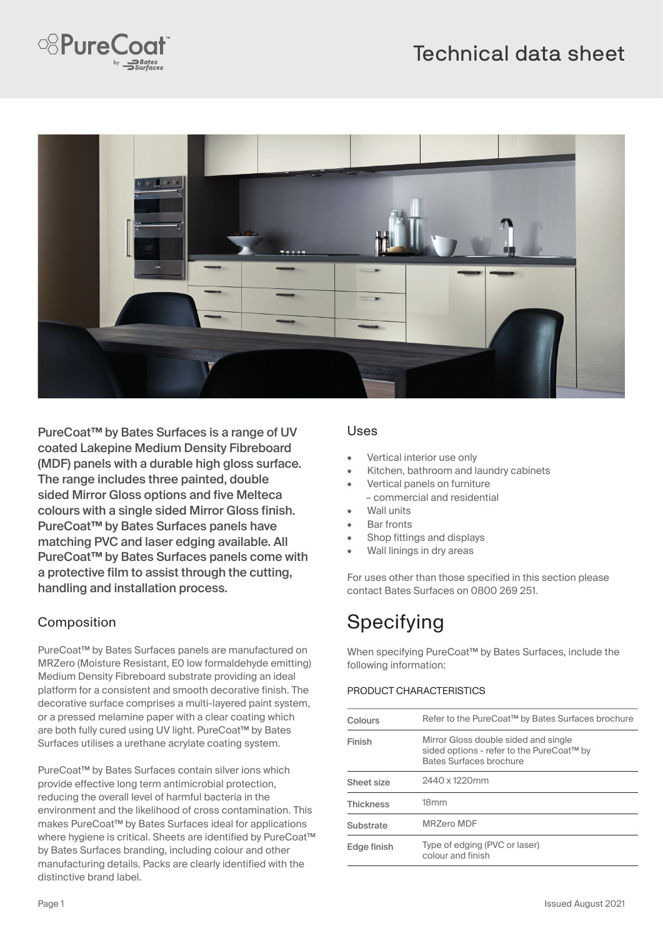



PureCoat™ by Bates Surfaces is a range of UV coated Lakepine Medium Density Fibreboard (MDF) panels with a durable high gloss surface. The range includes three painted, double sided Mirror Gloss options and five Melteca colours with a single sided Mirror Gloss finish. PureCoat™ by Bates Surfaces panels have matching PVC and laser edging available. All PureCoat™ by Bates Surfaces panels come with a protective flm to assist through the cutting, handling and installation process.

### Composition

PureCoat™ by Bates Surfaces panels are manufactured on MRZero (Moisture Resistant, E0 low formaldehyde emitting) Medium Density Fibreboard substrate providing an ideal platform for a consistent and smooth decorative finish. The decorative surface comprises a multi-layered paint system, or a pressed melamine paper with a clear coating which are both fully cured using UV light. PureCoat™ by Bates Surfaces utilises a urethane acrylate coating system.

PureCoat™ by Bates Surfaces contain silver ions which provide effective long term antimicrobial protection, reducing the overall level of harmful bacteria in the environment and the likelihood of cross contamination. This makes PureCoat™ by Bates Surfaces ideal for applications where hygiene is critical. Sheets are identified by PureCoat™ by Bates Surfaces branding, including colour and other manufacturing details. Packs are clearly identifed with the distinctive brand label.

#### Uses

- Vertical interior use only
- Kitchen, bathroom and laundry cabinets
- Vertical panels on furniture – commercial and residential
- Wall units
- **Bar fronts**
- Shop fittings and displays
- Wall linings in dry areas

For uses other than those specifed in this section please contact Bates Surfaces on 0800 269 251.

### **Specifying**

When specifying PureCoat™ by Bates Surfaces, include the following information:

#### PRODUCT CHARACTERISTICS

| Colours          | Refer to the PureCoat™ by Bates Surfaces brochure                                                            |
|------------------|--------------------------------------------------------------------------------------------------------------|
| Finish           | Mirror Gloss double sided and single<br>sided options - refer to the PureCoat™ by<br>Bates Surfaces brochure |
| Sheet size       | 2440 x 1220mm                                                                                                |
| <b>Thickness</b> | 18 <sub>mm</sub>                                                                                             |
| Substrate        | MRZero MDF                                                                                                   |
| Edge finish      | Type of edging (PVC or laser)<br>colour and finish                                                           |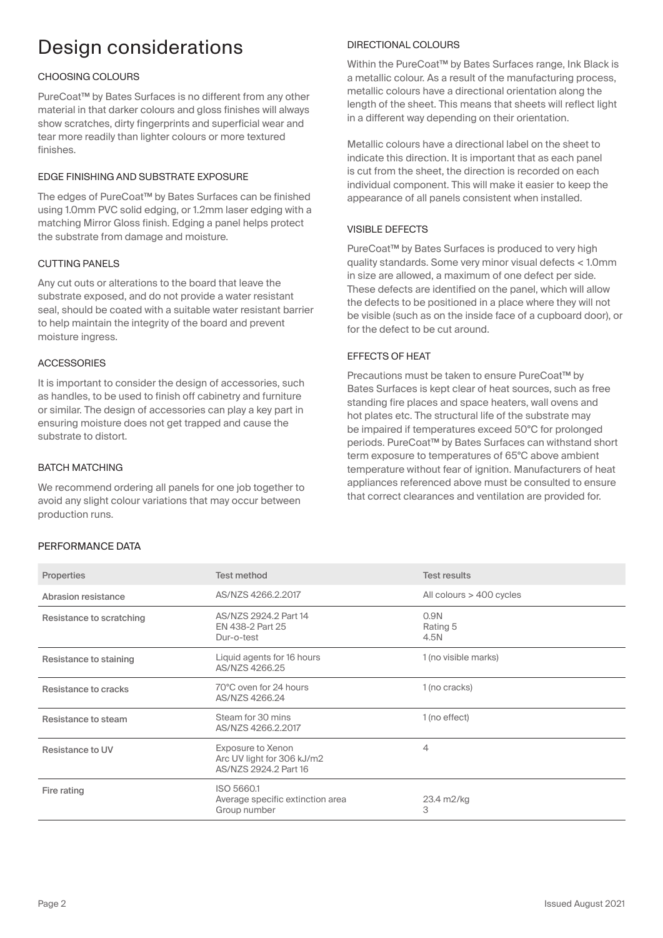# Design considerations

#### CHOOSING COLOURS

PureCoat™ by Bates Surfaces is no different from any other material in that darker colours and gloss finishes will always show scratches, dirty fingerprints and superficial wear and tear more readily than lighter colours or more textured finishes.

#### EDGE FINISHING AND SUBSTRATE EXPOSURE

The edges of PureCoat™ by Bates Surfaces can be finished using 1.0mm PVC solid edging, or 1.2mm laser edging with a matching Mirror Gloss finish. Edging a panel helps protect the substrate from damage and moisture.

#### CUTTING PANELS

Any cut outs or alterations to the board that leave the substrate exposed, and do not provide a water resistant seal, should be coated with a suitable water resistant barrier to help maintain the integrity of the board and prevent moisture ingress.

#### **ACCESSORIES**

It is important to consider the design of accessories, such as handles, to be used to finish off cabinetry and furniture or similar. The design of accessories can play a key part in ensuring moisture does not get trapped and cause the substrate to distort.

#### BATCH MATCHING

We recommend ordering all panels for one job together to avoid any slight colour variations that may occur between production runs.

#### PERFORMANCE DATA

#### DIRECTIONAL COLOURS

Within the PureCoat™ by Bates Surfaces range, Ink Black is a metallic colour. As a result of the manufacturing process, metallic colours have a directional orientation along the length of the sheet. This means that sheets will refect light in a different way depending on their orientation.

Metallic colours have a directional label on the sheet to indicate this direction. It is important that as each panel is cut from the sheet, the direction is recorded on each individual component. This will make it easier to keep the appearance of all panels consistent when installed.

#### VISIBLE DEFECTS

PureCoat™ by Bates Surfaces is produced to very high quality standards. Some very minor visual defects < 1.0mm in size are allowed, a maximum of one defect per side. These defects are identified on the panel, which will allow the defects to be positioned in a place where they will not be visible (such as on the inside face of a cupboard door), or for the defect to be cut around.

#### EFFECTS OF HEAT

Precautions must be taken to ensure PureCoat™ by Bates Surfaces is kept clear of heat sources, such as free standing fire places and space heaters, wall ovens and hot plates etc. The structural life of the substrate may be impaired if temperatures exceed 50°C for prolonged periods. PureCoat™ by Bates Surfaces can withstand short term exposure to temperatures of 65°C above ambient temperature without fear of ignition. Manufacturers of heat appliances referenced above must be consulted to ensure that correct clearances and ventilation are provided for.

| Properties               | <b>Test method</b>                                                              | <b>Test results</b>        |  |
|--------------------------|---------------------------------------------------------------------------------|----------------------------|--|
| Abrasion resistance      | AS/NZS 4266.2.2017                                                              | All colours $>$ 400 cycles |  |
| Resistance to scratching | AS/NZS 2924.2 Part 14<br>EN 438-2 Part 25<br>Dur-o-test                         | 0.9N<br>Rating 5<br>4.5N   |  |
| Resistance to staining   | Liquid agents for 16 hours<br>AS/NZS 4266.25                                    | 1 (no visible marks)       |  |
| Resistance to cracks     | 70°C oven for 24 hours<br>AS/NZS 4266.24                                        | 1 (no cracks)              |  |
| Resistance to steam      | Steam for 30 mins<br>AS/NZS 4266.2.2017                                         | 1 (no effect)              |  |
| Resistance to UV         | <b>Exposure to Xenon</b><br>Arc UV light for 306 kJ/m2<br>AS/NZS 2924.2 Part 16 | $\overline{4}$             |  |
| Fire rating              | ISO 5660.1<br>Average specific extinction area<br>Group number                  | 23.4 m2/kg<br>3            |  |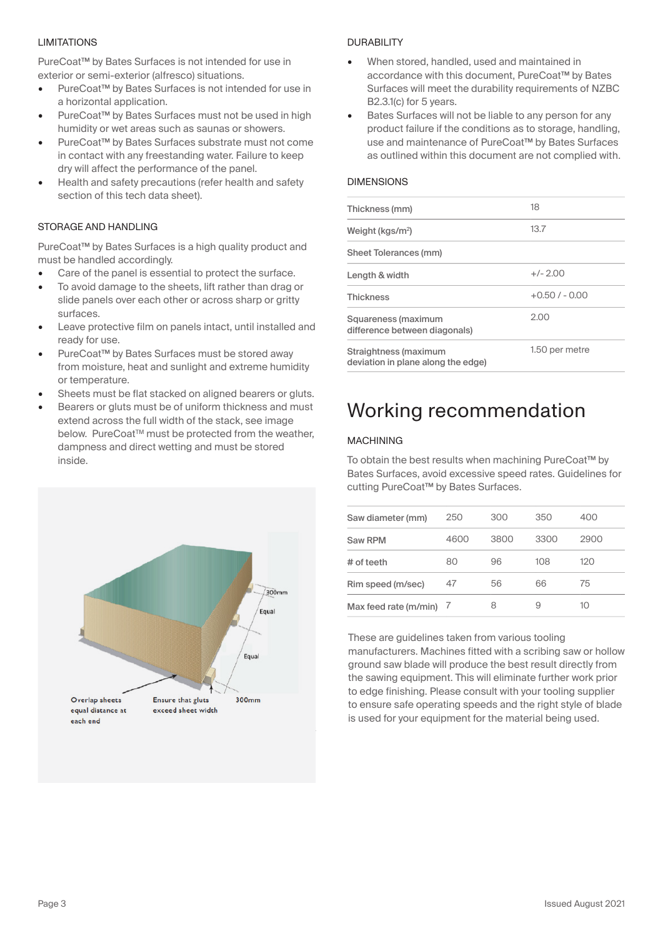#### LIMITATIONS

PureCoat™ by Bates Surfaces is not intended for use in exterior or semi-exterior (alfresco) situations.

- PureCoat™ by Bates Surfaces is not intended for use in a horizontal application.
- PureCoat™ by Bates Surfaces must not be used in high humidity or wet areas such as saunas or showers.
- PureCoat™ by Bates Surfaces substrate must not come in contact with any freestanding water. Failure to keep dry will affect the performance of the panel.
- Health and safety precautions (refer health and safety section of this tech data sheet).

#### STORAGE AND HANDLING

PureCoat™ by Bates Surfaces is a high quality product and must be handled accordingly.

- Care of the panel is essential to protect the surface.
- To avoid damage to the sheets, lift rather than drag or slide panels over each other or across sharp or gritty surfaces.
- Leave protective film on panels intact, until installed and ready for use.
- PureCoat™ by Bates Surfaces must be stored away from moisture, heat and sunlight and extreme humidity or temperature.
- Sheets must be flat stacked on aligned bearers or gluts.
- Bearers or gluts must be of uniform thickness and must extend across the full width of the stack, see image below. PureCoat™ must be protected from the weather, dampness and direct wetting and must be stored inside.



#### DURABILITY

- When stored, handled, used and maintained in accordance with this document, PureCoat™ by Bates Surfaces will meet the durability requirements of NZBC B2.3.1(c) for 5 years.
- Bates Surfaces will not be liable to any person for any product failure if the conditions as to storage, handling, use and maintenance of PureCoat™ by Bates Surfaces as outlined within this document are not complied with.

#### DIMENSIONS

| Thickness (mm)                                              | 18             |
|-------------------------------------------------------------|----------------|
| Weight (kgs/m <sup>2</sup> )                                | 13.7           |
| Sheet Tolerances (mm)                                       |                |
| Length & width                                              | $+/-2.00$      |
| <b>Thickness</b>                                            | $+0.50/ -0.00$ |
| Squareness (maximum<br>difference between diagonals)        | 2.00           |
| Straightness (maximum<br>deviation in plane along the edge) | 1.50 per metre |

### Working recommendation

#### MACHINING

To obtain the best results when machining PureCoat™ by Bates Surfaces, avoid excessive speed rates. Guidelines for cutting PureCoat™ by Bates Surfaces.

| Saw diameter (mm)     | 250  | 300  | 350  | 400  |
|-----------------------|------|------|------|------|
| Saw RPM               | 4600 | 3800 | 3300 | 2900 |
| # of teeth            | 80   | 96   | 108  | 120  |
| Rim speed (m/sec)     | 47   | 56   | 66   | 75   |
| Max feed rate (m/min) |      | я    |      | 1()  |

These are guidelines taken from various tooling manufacturers. Machines fitted with a scribing saw or hollow ground saw blade will produce the best result directly from the sawing equipment. This will eliminate further work prior to edge fnishing. Please consult with your tooling supplier to ensure safe operating speeds and the right style of blade is used for your equipment for the material being used.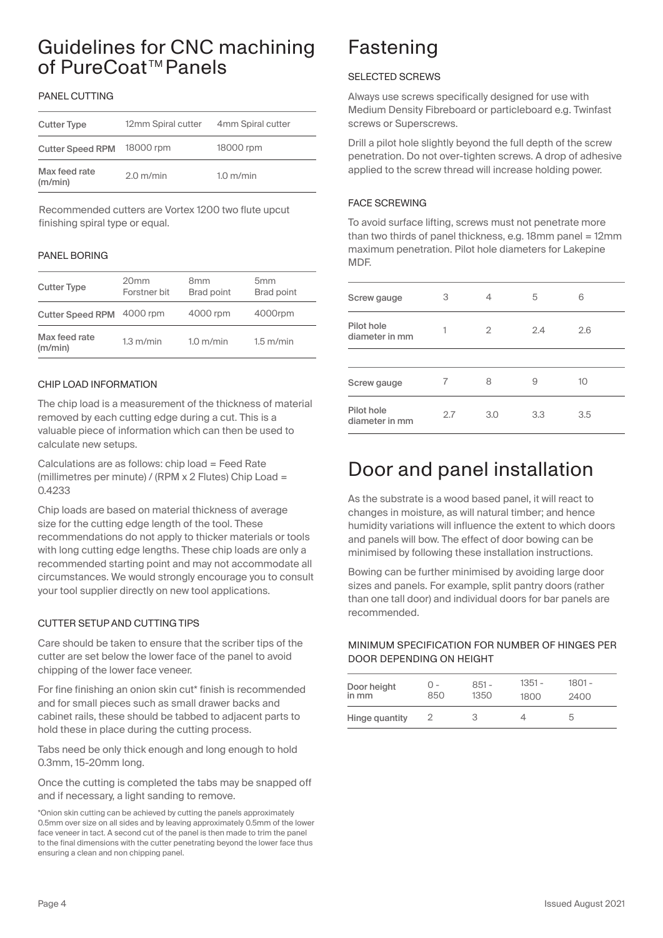### Guidelines for CNC machining of PureCoat<sup>™</sup> Panels

#### PANEL CUTTING

| <b>Cutter Type</b>       | 12mm Spiral cutter | 4mm Spiral cutter   |
|--------------------------|--------------------|---------------------|
| <b>Cutter Speed RPM</b>  | 18000 rpm          | 18000 rpm           |
| Max feed rate<br>(m/min) | $2.0$ m/min        | $1.0 \text{ m/min}$ |

Recommended cutters are Vortex 1200 two fute upcut finishing spiral type or equal.

#### PANEL BORING

| <b>Cutter Type</b>       | 20 <sub>mm</sub><br>Forstner bit | 8 <sub>mm</sub><br>Brad point | 5 <sub>mm</sub><br>Brad point |
|--------------------------|----------------------------------|-------------------------------|-------------------------------|
| <b>Cutter Speed RPM</b>  | 4000 rpm                         | 4000 rpm                      | 4000rpm                       |
| Max feed rate<br>(m/min) | $1.3 \text{ m/min}$              | $1.0$ m/min                   | $1.5$ m/min                   |

#### CHIP LOAD INFORMATION

The chip load is a measurement of the thickness of material removed by each cutting edge during a cut. This is a valuable piece of information which can then be used to calculate new setups.

Calculations are as follows: chip load = Feed Rate (millimetres per minute) / (RPM x 2 Flutes) Chip Load = 0.4233

Chip loads are based on material thickness of average size for the cutting edge length of the tool. These recommendations do not apply to thicker materials or tools with long cutting edge lengths. These chip loads are only a recommended starting point and may not accommodate all circumstances. We would strongly encourage you to consult your tool supplier directly on new tool applications.

#### CUTTER SETUP AND CUTTING TIPS

Care should be taken to ensure that the scriber tips of the cutter are set below the lower face of the panel to avoid chipping of the lower face veneer.

For fine finishing an onion skin cut\* finish is recommended and for small pieces such as small drawer backs and cabinet rails, these should be tabbed to adjacent parts to hold these in place during the cutting process.

Tabs need be only thick enough and long enough to hold 0.3mm, 15-20mm long.

Once the cutting is completed the tabs may be snapped off and if necessary, a light sanding to remove.

\*Onion skin cutting can be achieved by cutting the panels approximately 0.5mm over size on all sides and by leaving approximately 0.5mm of the lower face veneer in tact. A second cut of the panel is then made to trim the panel to the final dimensions with the cutter penetrating beyond the lower face thus ensuring a clean and non chipping panel.

# Fastening

#### SELECTED SCREWS

Always use screws specifically designed for use with Medium Density Fibreboard or particleboard e.g. Twinfast screws or Superscrews.

Drill a pilot hole slightly beyond the full depth of the screw penetration. Do not over-tighten screws. A drop of adhesive applied to the screw thread will increase holding power.

#### FACE SCREWING

To avoid surface lifting, screws must not penetrate more than two thirds of panel thickness, e.g. 18mm panel = 12mm maximum penetration. Pilot hole diameters for Lakepine MDF.

| Screw gauge                  | 3   | 4   | 5   | 6   |
|------------------------------|-----|-----|-----|-----|
| Pilot hole<br>diameter in mm | 1   | 2   | 2.4 | 2.6 |
|                              |     |     |     |     |
| Screw gauge                  |     | 8   | 9   | 10  |
| Pilot hole<br>diameter in mm | 2.7 | 3.0 | 3.3 | 3.5 |

### Door and panel installation

As the substrate is a wood based panel, it will react to changes in moisture, as will natural timber; and hence humidity variations will infuence the extent to which doors and panels will bow. The effect of door bowing can be minimised by following these installation instructions.

Bowing can be further minimised by avoiding large door sizes and panels. For example, split pantry doors (rather than one tall door) and individual doors for bar panels are recommended.

#### MINIMUM SPECIFICATION FOR NUMBER OF HINGES PER DOOR DEPENDING ON HEIGHT

| Door height    | $1 -$ | $851 -$ | $1351 -$ | $1801 -$ |  |
|----------------|-------|---------|----------|----------|--|
| in mm          | 850   | 1350    | 1800     | 2400     |  |
| Hinge quantity |       | -2      |          | h        |  |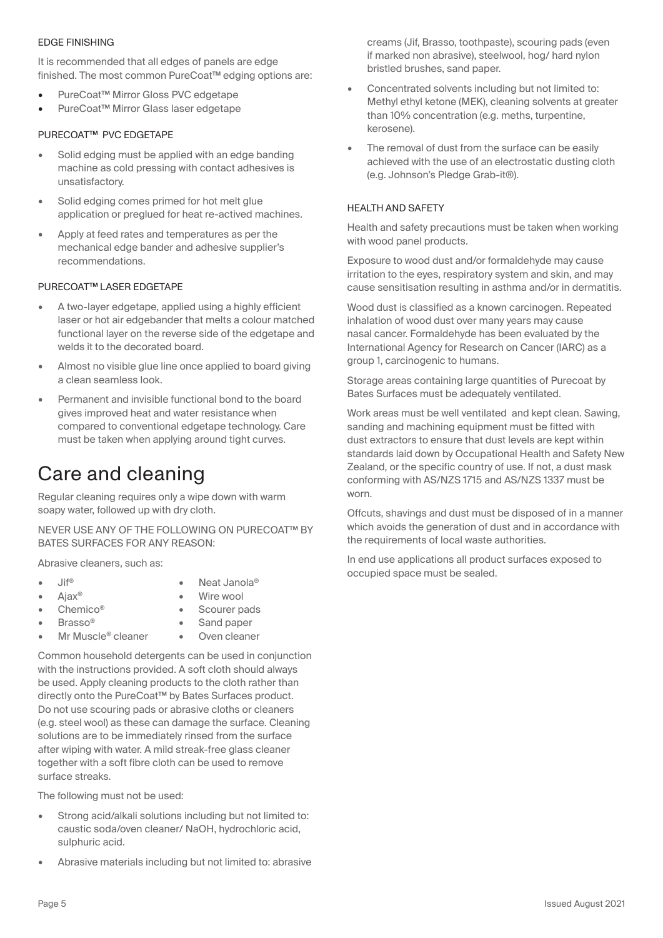#### EDGE FINISHING

It is recommended that all edges of panels are edge finished. The most common PureCoat™ edging options are:

- PureCoat™ Mirror Gloss PVC edgetape
- PureCoat™ Mirror Glass laser edgetape

#### PURECOAT™ PVC EDGETAPE

- Solid edging must be applied with an edge banding machine as cold pressing with contact adhesives is unsatisfactory.
- Solid edging comes primed for hot melt glue application or preglued for heat re-actived machines.
- Apply at feed rates and temperatures as per the mechanical edge bander and adhesive supplier's recommendations.

#### PURECOAT™ LASER EDGETAPE

- A two-layer edgetape, applied using a highly efficient laser or hot air edgebander that melts a colour matched functional layer on the reverse side of the edgetape and welds it to the decorated board.
- Almost no visible glue line once applied to board giving a clean seamless look.
- Permanent and invisible functional bond to the board gives improved heat and water resistance when compared to conventional edgetape technology. Care must be taken when applying around tight curves.

### Care and cleaning

Regular cleaning requires only a wipe down with warm soapy water, followed up with dry cloth.

NEVER USE ANY OF THE FOLLOWING ON PURECOAT™ BY BATES SURFACES FOR ANY REASON:

Abrasive cleaners, such as:

• Jif®

- Neat Janola®
- Ajax<sup>®</sup>
- Wire wool Scourer pads
- Chemico<sup>®</sup>
- Brasso®
- Sand paper
- Mr Muscle® cleaner Oven cleaner

Common household detergents can be used in conjunction with the instructions provided. A soft cloth should always be used. Apply cleaning products to the cloth rather than directly onto the PureCoat™ by Bates Surfaces product. Do not use scouring pads or abrasive cloths or cleaners (e.g. steel wool) as these can damage the surface. Cleaning solutions are to be immediately rinsed from the surface after wiping with water. A mild streak-free glass cleaner together with a soft fibre cloth can be used to remove surface streaks.

The following must not be used:

- Strong acid/alkali solutions including but not limited to: caustic soda/oven cleaner/ NaOH, hydrochloric acid, sulphuric acid.
- Abrasive materials including but not limited to: abrasive

creams (Jif, Brasso, toothpaste), scouring pads (even if marked non abrasive), steelwool, hog/ hard nylon bristled brushes, sand paper.

- Concentrated solvents including but not limited to: Methyl ethyl ketone (MEK), cleaning solvents at greater than 10% concentration (e.g. meths, turpentine, kerosene).
- The removal of dust from the surface can be easily achieved with the use of an electrostatic dusting cloth (e.g. Johnson's Pledge Grab-it®).

#### HEALTH AND SAFFTY

Health and safety precautions must be taken when working with wood panel products.

Exposure to wood dust and/or formaldehyde may cause irritation to the eyes, respiratory system and skin, and may cause sensitisation resulting in asthma and/or in dermatitis.

Wood dust is classifed as a known carcinogen. Repeated inhalation of wood dust over many years may cause nasal cancer. Formaldehyde has been evaluated by the International Agency for Research on Cancer (IARC) as a group 1, carcinogenic to humans.

Storage areas containing large quantities of Purecoat by Bates Surfaces must be adequately ventilated.

Work areas must be well ventilated and kept clean. Sawing, sanding and machining equipment must be fitted with dust extractors to ensure that dust levels are kept within standards laid down by Occupational Health and Safety New Zealand, or the specific country of use. If not, a dust mask conforming with AS/NZS 1715 and AS/NZS 1337 must be worn.

Offcuts, shavings and dust must be disposed of in a manner which avoids the generation of dust and in accordance with the requirements of local waste authorities.

In end use applications all product surfaces exposed to occupied space must be sealed.